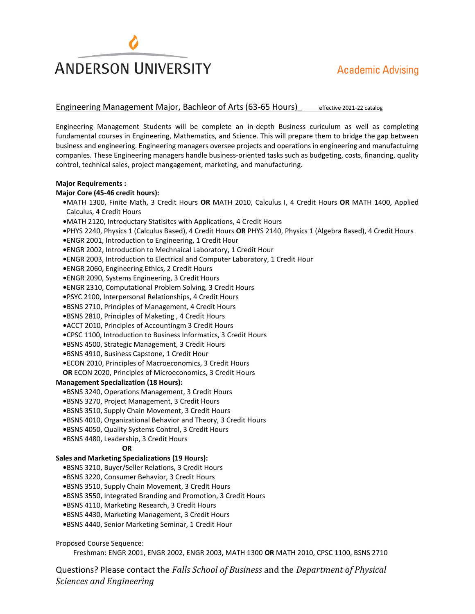# **ANDERSON UNIVERSITY**

## Engineering Management Major, Bachleor of Arts (63-65 Hours) effective 2021-22 catalog

Engineering Management Students will be complete an in-depth Business curiculum as well as completing fundamental courses in Engineering, Mathematics, and Science. This will prepare them to bridge the gap between business and engineering. Engineering managers oversee projects and operations in engineering and manufactuirng companies. These Engineering managers handle business-oriented tasks such as budgeting, costs, financing, quality control, technical sales, project mangagement, marketing, and manufacturing.

#### **Major Requirements :**

#### **Major Core (45-46 credit hours):**

**•**MATH 1300, Finite Math, 3 Credit Hours **OR** MATH 2010, Calculus I, 4 Credit Hours **OR** MATH 1400, Applied Calculus, 4 Credit Hours **•**MATH 2120, Introductary Statisitcs with Applications, 4 Credit Hours

**•**PHYS 2240, Physics 1 (Calculus Based), 4 Credit Hours **OR** PHYS 2140, Physics 1 (Algebra Based), 4 Credit Hours

**•**ENGR 2001, Introduction to Engineering, 1 Credit Hour

**•**ENGR 2002, Introduction to Mechnaical Laboratory, 1 Credit Hour

**•**ENGR 2003, Introduction to Electrical and Computer Laboratory, 1 Credit Hour

**•**ENGR 2060, Engineering Ethics, 2 Credit Hours

**•**ENGR 2090, Systems Engineering, 3 Credit Hours

**•**ENGR 2310, Computational Problem Solving, 3 Credit Hours

**•**PSYC 2100, Interpersonal Relationships, 4 Credit Hours

**•**BSNS 2710, Principles of Management, 4 Credit Hours

**•**BSNS 2810, Principles of Maketing , 4 Credit Hours

**•**ACCT 2010, Principles of Accountingm 3 Credit Hours

**•**CPSC 1100, Introduction to Business Informatics, 3 Credit Hours

**•**BSNS 4500, Strategic Management, 3 Credit Hours

**•**BSNS 4910, Business Capstone, 1 Credit Hour

**•**ECON 2010, Principles of Macroeconomics, 3 Credit Hours

**OR** ECON 2020, Principles of Microeconomics, 3 Credit Hours

#### **Management Specialization (18 Hours):**

**•**BSNS 3240, Operations Management, 3 Credit Hours

**•**BSNS 3270, Project Management, 3 Credit Hours

**•**BSNS 3510, Supply Chain Movement, 3 Credit Hours

**•**BSNS 4010, Organizational Behavior and Theory, 3 Credit Hours

**•**BSNS 4050, Quality Systems Control, 3 Credit Hours

**•**BSNS 4480, Leadership, 3 Credit Hours

#### **OR**

#### **Sales and Marketing Specializations (19 Hours):**

**•**BSNS 3210, Buyer/Seller Relations, 3 Credit Hours

**•**BSNS 3220, Consumer Behavior, 3 Credit Hours

**•**BSNS 3510, Supply Chain Movement, 3 Credit Hours

**•**BSNS 3550, Integrated Branding and Promotion, 3 Credit Hours

**•**BSNS 4110, Marketing Research, 3 Credit Hours

**•**BSNS 4430, Marketing Management, 3 Credit Hours

**•**BSNS 4440, Senior Marketing Seminar, 1 Credit Hour

#### Proposed Course Sequence:

Freshman: ENGR 2001, ENGR 2002, ENGR 2003, MATH 1300 **OR** MATH 2010, CPSC 1100, BSNS 2710

Questions? Please contact the *Falls School of Business* and the *Department of Physical Sciences and Engineering*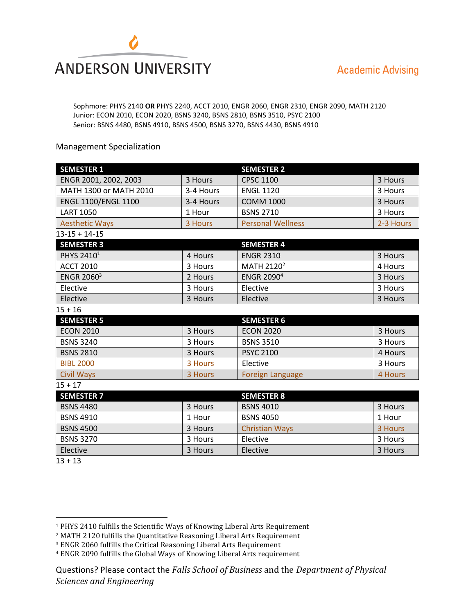

### Sophmore: PHYS 2140 **OR** PHYS 2240, ACCT 2010, ENGR 2060, ENGR 2310, ENGR 2090, MATH 2120 Junior: ECON 2010, ECON 2020, BSNS 3240, BSNS 2810, BSNS 3510, PSYC 2100 Senior: BSNS 4480, BSNS 4910, BSNS 4500, BSNS 3270, BSNS 4430, BSNS 4910

## Management Specialization

| <b>SEMESTER 1</b>            |           | <b>SEMESTER 2</b>        |           |
|------------------------------|-----------|--------------------------|-----------|
| ENGR 2001, 2002, 2003        | 3 Hours   | <b>CPSC 1100</b>         | 3 Hours   |
| MATH 1300 or MATH 2010       | 3-4 Hours | <b>ENGL 1120</b>         | 3 Hours   |
| ENGL 1100/ENGL 1100          | 3-4 Hours | <b>COMM 1000</b>         | 3 Hours   |
| <b>LART 1050</b>             | 1 Hour    | <b>BSNS 2710</b>         | 3 Hours   |
| <b>Aesthetic Ways</b>        | 3 Hours   | <b>Personal Wellness</b> | 2-3 Hours |
| $13 - 15 + 14 - 15$          |           |                          |           |
| <b>SEMESTER 3</b>            |           | <b>SEMESTER 4</b>        |           |
| PHYS 2410 <sup>1</sup>       | 4 Hours   | <b>ENGR 2310</b>         | 3 Hours   |
| <b>ACCT 2010</b>             | 3 Hours   | MATH 2120 <sup>2</sup>   | 4 Hours   |
| <b>ENGR 2060<sup>3</sup></b> | 2 Hours   | <b>ENGR 20904</b>        | 3 Hours   |
| Elective                     | 3 Hours   | Elective                 | 3 Hours   |
| Elective                     | 3 Hours   | Elective                 | 3 Hours   |
| $15 + 16$                    |           |                          |           |
| <b>SEMESTER 5</b>            |           | <b>SEMESTER 6</b>        |           |
| <b>ECON 2010</b>             | 3 Hours   | <b>ECON 2020</b>         | 3 Hours   |
| <b>BSNS 3240</b>             | 3 Hours   | <b>BSNS 3510</b>         | 3 Hours   |
| <b>BSNS 2810</b>             | 3 Hours   | <b>PSYC 2100</b>         | 4 Hours   |
| <b>BIBL 2000</b>             | 3 Hours   | Elective                 | 3 Hours   |
| <b>Civil Ways</b>            | 3 Hours   | <b>Foreign Language</b>  | 4 Hours   |
| $15 + 17$                    |           |                          |           |
| <b>SEMESTER 7</b>            |           | <b>SEMESTER 8</b>        |           |
| <b>BSNS 4480</b>             | 3 Hours   | <b>BSNS 4010</b>         | 3 Hours   |
| <b>BSNS 4910</b>             | 1 Hour    | <b>BSNS 4050</b>         | 1 Hour    |
| <b>BSNS 4500</b>             | 3 Hours   | <b>Christian Ways</b>    | 3 Hours   |
| <b>BSNS 3270</b>             | 3 Hours   | Elective                 | 3 Hours   |
| Elective                     | 3 Hours   | Elective                 | 3 Hours   |

 $13 + 13$ 

 $\overline{a}$ 

<sup>1</sup> PHYS 2410 fulfills the Scientific Ways of Knowing Liberal Arts Requirement

<sup>2</sup> MATH 2120 fulfills the Quantitative Reasoning Liberal Arts Requirement

<sup>3</sup> ENGR 2060 fulfills the Critical Reasoning Liberal Arts Requirement

<sup>4</sup> ENGR 2090 fulfills the Global Ways of Knowing Liberal Arts requirement

Questions? Please contact the *Falls School of Business* and the *Department of Physical Sciences and Engineering*